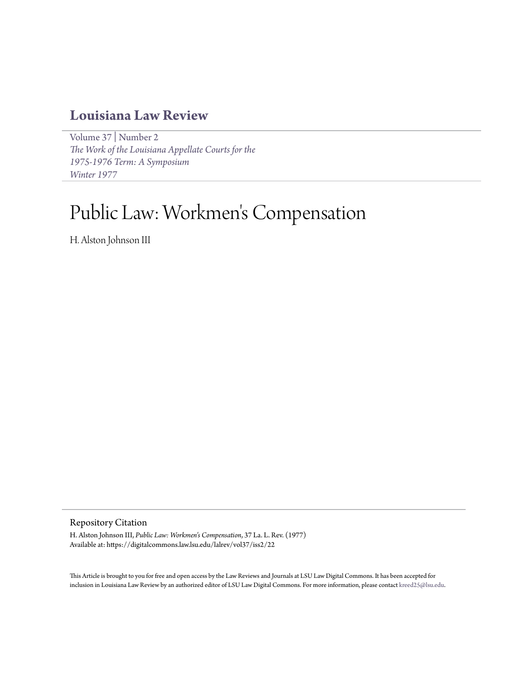# **[Louisiana Law Review](https://digitalcommons.law.lsu.edu/lalrev)**

[Volume 37](https://digitalcommons.law.lsu.edu/lalrev/vol37) | [Number 2](https://digitalcommons.law.lsu.edu/lalrev/vol37/iss2) *[The Work of the Louisiana Appellate Courts for the](https://digitalcommons.law.lsu.edu/lalrev/vol37/iss2) [1975-1976 Term: A Symposium](https://digitalcommons.law.lsu.edu/lalrev/vol37/iss2) [Winter 1977](https://digitalcommons.law.lsu.edu/lalrev/vol37/iss2)*

# Public Law: Workmen 's Compensation

H. Alston Johnson III

Repository Citation

H. Alston Johnson III, *Public Law: Workmen's Compensation*, 37 La. L. Rev. (1977) Available at: https://digitalcommons.law.lsu.edu/lalrev/vol37/iss2/22

This Article is brought to you for free and open access by the Law Reviews and Journals at LSU Law Digital Commons. It has been accepted for inclusion in Louisiana Law Review by an authorized editor of LSU Law Digital Commons. For more information, please contact [kreed25@lsu.edu](mailto:kreed25@lsu.edu).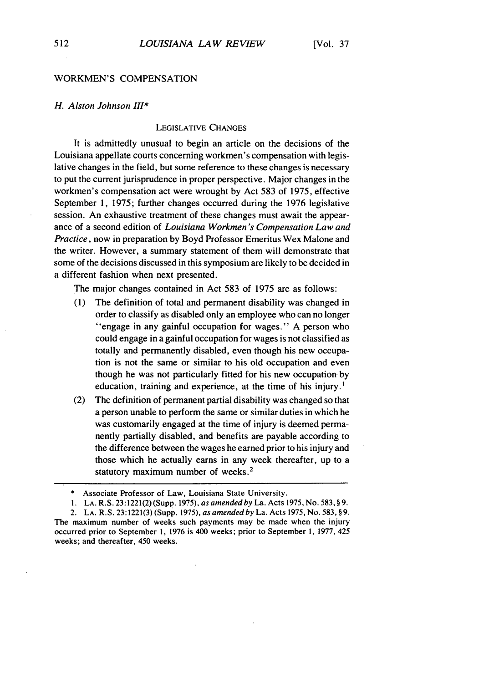#### WORKMEN'S COMPENSATION

#### *H. Alston Johnson 1II\**

#### LEGISLATIVE CHANGES

It is admittedly unusual to begin an article on the decisions of the Louisiana appellate courts concerning workmen's compensation with legislative changes in the field, but some reference to these changes is necessary to put the current jurisprudence in proper perspective. Major changes in the workmen's compensation act were wrought by Act 583 of 1975, effective September 1, 1975; further changes occurred during the 1976 legislative session. An exhaustive treatment of these changes must await the appearance of a second edition of *Louisiana Workmen's Compensation Law and Practice,* now in preparation by Boyd Professor Emeritus Wex Malone and the writer. However, a summary statement of them will demonstrate that some of the decisions discussed in this symposium are likely to be decided in a different fashion when next presented.

The major changes contained in Act 583 of 1975 are as follows:

- (1) The definition of total and permanent disability was changed in order to classify as disabled only an employee who can no longer "engage in any gainful occupation for wages." A person who could engage in a gainful occupation for wages is not classified as totally and permanently disabled, even though his new occupation is not the same or similar to his old occupation and even though he was not particularly fitted for his new occupation by education, training and experience, at the time of his injury.
- (2) The definition of permanent partial disability was changed so that a person unable to perform the same or similar duties in which he was customarily engaged at the time of injury is deemed permanently partially disabled, and benefits are payable according to the difference between the wages he earned prior to his injury and those which he actually earns in any week thereafter, up to a statutory maximum number of weeks.<sup>2</sup>

<sup>\*</sup> Associate Professor of Law, Louisiana State University.

<sup>1.</sup> LA. R.S. 23:1221(2) (Supp. 1975), *as amended by La.* Acts 1975, No. 583, **§** 9.

<sup>2.</sup> LA. R.S. 23:1221(3) (Supp. 1975), *as amended by* La. Acts 1975, No. 583, **§9.** The maximum number of weeks such payments may be made when the injury occurred prior to September **1,** 1976 is 400 weeks; prior to September **1,** 1977, 425 weeks; and thereafter, 450 weeks.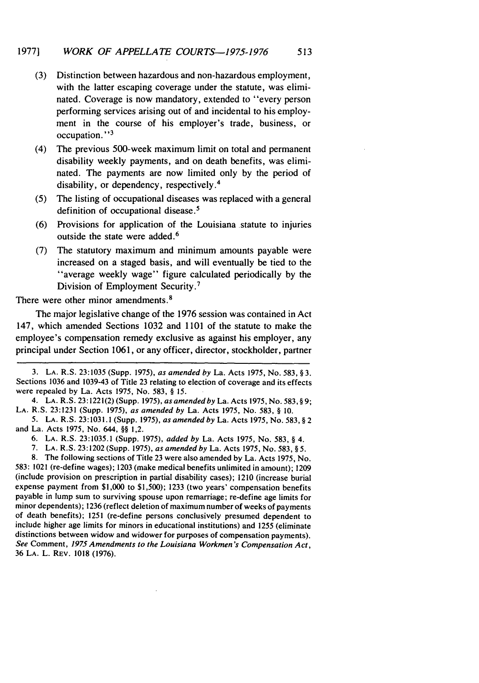- **(3)** Distinction between hazardous and non-hazardous employment, with the latter escaping coverage under the statute, was eliminated. Coverage is now mandatory, extended to "every person performing services arising out of and incidental to his employment in the course of his employer's trade, business, or occupation." **<sup>3</sup>**
- (4) The previous 500-week maximum limit on total and permanent disability weekly payments, and on death benefits, was eliminated. The payments are now limited only **by** the period of disability, or dependency, respectively. <sup>4</sup>
- **(5)** The listing of occupational diseases was replaced with a general definition of occupational disease.<sup>5</sup>
- **(6)** Provisions for application of the Louisiana statute to injuries outside the state were added.<sup>6</sup>
- **(7)** The statutory maximum and minimum amounts payable were increased on a staged basis, and will eventually be tied to the "average weekly wage" figure calculated periodically **by** the Division of Employment Security.<sup>7</sup>

There were other minor amendments.<sup>8</sup>

The major legislative change of the **1976** session was contained in Act 147, which amended Sections **1032** and **1101** of the statute to make the employee's compensation remedy exclusive as against his employer, any principal under Section **1061,** or any officer, director, stockholder, partner

**6. LA.** R.S. **23:1035.1** (Supp. **1975),** added **by** La. Acts **1975,** No. **583, §** 4.

**8.** The following sections of Title **23** were also amended **by** La. Acts **1975,** No. **583:** 1021 (re-define wages); **1203** (make medical benefits unlimited in amount); **1209** (include provision on prescription in partial disability cases); 1210 (increase burial expense payment from **\$1,000** to **\$1,500); 1233** (two years' compensation benefits payable in lump sum to surviving spouse upon remarriage; re-define age limits for minor dependents); **1236** (reflect deletion of maximum number of weeks of payments of death benefits); **1251** (re-define persons conclusively presumed dependent to include higher age limits for minors in educational institutions) and **1255** (eliminate distinctions between widow and widower for purposes of compensation payments). *See* Comment, *1975 Amendments to the Louisiana Workmen's Compensation Act,* **36 LA.** L. **REV. 1018 (1976).**

**<sup>3.</sup> LA.** R.S. **23:1035** (Supp. **1975),** as amended **by** La. Acts **1975,** No. **583, §3.** Sections **1036** and 1039-43 of Title **23** relating to election of coverage and its effects were repealed **by** La. Acts **1975,** No. **583, § 15.**

<sup>4.</sup> **LA.** R.S. **23:1221(2)** (Supp. **1975),** as amended **by** La. Acts **1975,** No. **583, § 9; LA.** R.S. **23:1231** (Supp. **1975),** as amended **by** La. Acts **1975,** No. **583, § 10.**

**<sup>5.</sup> LA. R.S. 23:103 1.1** (Supp. **1975),** as amended **by** La. Acts **1975,** No. **583, § 2** and La. Acts **1975,** No. 644, **§§** 1,2.

**<sup>7.</sup> LA.** R.S. **23:1202** (Supp. **1975),** as amended **by** La. Acts **1975,** No. **583, §5.**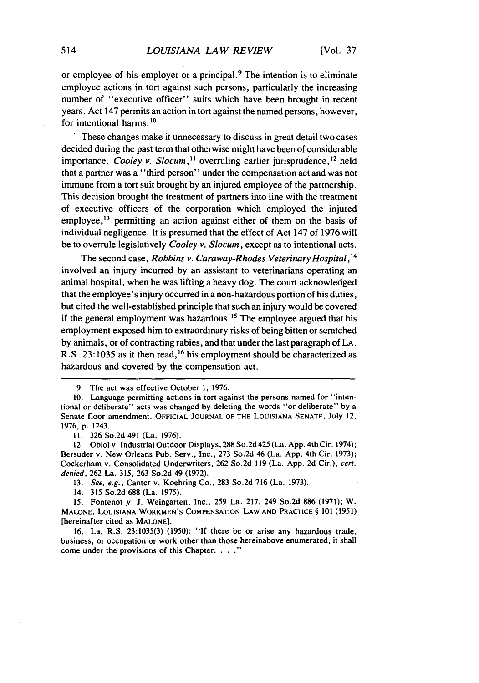or employee of his employer or a principal. 9 The intention is to eliminate employee actions in tort against such persons, particularly the increasing number of "executive officer" suits which have been brought in recent years. Act 147 permits an action in tort against the named persons, however, for intentional harms. $10$ 

These changes make it unnecessary to discuss in great detail two cases decided during the past term that otherwise might have been of considerable importance. Cooley v. Slocum,<sup>11</sup> overruling earlier jurisprudence,<sup>12</sup> held that a partner was a "third person" under the compensation act and was not immune from a tort suit brought by an injured employee of the partnership. This decision brought the treatment of partners into line with the treatment of executive officers of the corporation which employed the injured employee,<sup>13</sup> permitting an action against either of them on the basis of individual negligence. It is presumed that the effect of Act 147 of 1976 will be to overrule legislatively *Cooley v. Slocum*, except as to intentional acts.

The second case, Robbins v. *Caraway-Rhodes Veterinary Hospital,14* involved an injury incurred by an assistant to veterinarians operating an animal hospital, when he was lifting a heavy dog. The court acknowledged that the employee's injury occurred in a non-hazardous portion of his duties, but cited the well-established principle that such an injury would be covered if the general employment was hazardous. **1 <sup>5</sup>**The employee argued that his employment exposed him to extraordinary risks of being bitten or scratched by animals, or of contracting rabies, and that under the last paragraph of LA. R.S. 23:1035 as it then read,<sup>16</sup> his employment should be characterized as hazardous and covered by the compensation act.

13. See, e.g., Canter v. Koehring Co., 283 So.2d 716 (La. 1973).

14. 315 So.2d 688 (La. 1975).

15. Fontenot v. **J.** Weingarten, Inc., 259 La. 217, 249 So.2d 886 (1971); W. **MALONE,** LOUISIANA WORKMEN'S **COMPENSATION** LAW AND PRACTICE § **101** (1951) [hereinafter cited as MALONE].

16. La. R.S. 23:1035(3) (1950): **"If** there be or arise, any hazardous trade, business, or occupation or work other than those hereinabove enumerated, it shall come under the provisions of this Chapter. . . . "

<sup>9.</sup> The act was effective October 1, 1976.

<sup>10.</sup> Language permitting actions in tort against the persons named for "intentional or deliberate" acts was changed by deleting the words "or deliberate" by a Senate floor amendment. OFFICIAL JOURNAL OF THE LOUISIANA SENATE, July 12, 1976, p. 1243.

<sup>11. 326</sup> So.2d 491 (La. 1976).

<sup>12.</sup> Obiol v. Industrial Outdoor Displays, 288 So.2d 425 (La. App. 4th Cir. 1974); Bersuder v. New Orleans Pub. Serv., Inc., 273 So.2d 46 (La. App. 4th Cir. 1973); Cockerham v. Consolidated Underwriters, 262 So.2d 119 (La. App. 2d Cir.), cert. denied, 262 La. 315, 263 So.2d 49 (1972).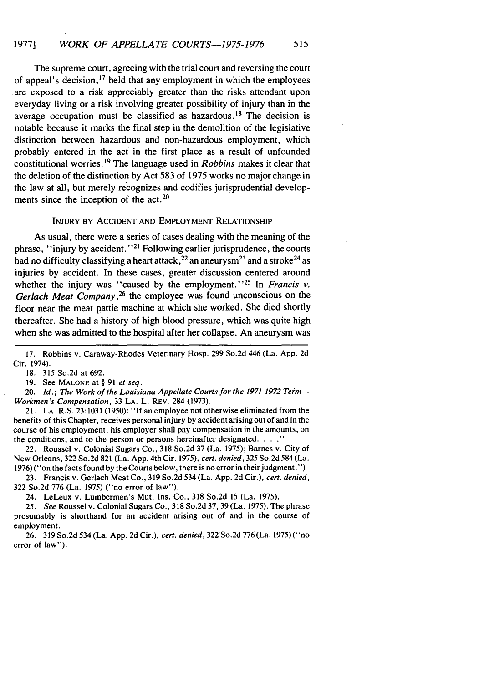The supreme court, agreeing with the trial court and reversing the court of appeal's decision, 17 held that any employment in which the employees are exposed to a risk appreciably greater than the risks attendant upon everyday living or a risk involving greater possibility of injury than in the average occupation must be classified as hazardous.<sup>18</sup> The decision is notable because it marks the final step in the demolition of the legislative distinction between hazardous and non-hazardous employment, which probably entered in the act in the first place as a result of unfounded constitutional worries. **9** The language used in *Robbins* makes it clear that the deletion of the distinction **by** Act **583** of **1975** works no major change in the law at all, but merely recognizes and codifies jurisprudential developments since the inception of the act.<sup>20</sup>

#### INJURY BY ACCIDENT **AND** EMPLOYMENT RELATIONSHIP

As usual, there were a series of cases dealing with the meaning **of** the phrase, "injury by accident."<sup>21</sup> Following earlier jurisprudence, the courts had no difficulty classifying a heart attack,  $^{22}$  an aneurysm<sup>23</sup> and a stroke<sup>24</sup> as injuries **by** accident. In these cases, greater discussion centered around whether the injury was "caused by the employment."<sup>25</sup> In *Francis v. Gerlach Meat Company,26* the employee was found unconscious on the floor near the meat pattie machine at which she worked. She died shortly thereafter. She had a history of high blood pressure, which was quite high when she was admitted to the hospital after her collapse. An aneurysm was

**19.** See **MALONE** at **§ 91** *et seq.*

20. *Id.*; The Work of the Louisiana Appellate Courts for the 1971-1972 Term--*Workmen's Compensation,* **33 LA.** L. REV. 284 **(1973).**

21. **LA.** R.S. **23:1031(1950):** "If an employee not otherwise eliminated from the benefits of this Chapter, receives personal injury **by** accident arising out of and in the course of his employment, his employer shall pay compensation in the amounts, on the conditions, and to the person or persons hereinafter designated. . . . "

22. Roussel v. Colonial Sugars Co., **318** So.2d **37** (La. **1975);** Barnes v. City of New Orleans, **322** So.2d **821** (La. **App.** 4th Cir. **1975),** *cert. denied,* **325** So.2d 584 (La. **1976) ("on** the facts found **by** the Courts below, there is no error in their judgment.")

**23.** Francis v. Gerlach Meat Co., **319** So.2d 534 (La. **App. 2d** Cir.), *cert. denied,* **322** So.2d **776** (La. **1975)** ("no error of law").

24. LeLeux v. Lumbermen's Mut. Ins. Co., **318** So.2d **15** (La. **1975).**

*25. See* Roussel v. Colonial Sugars Co., **318** So.2d **37, 39** (La. **1975).** The phrase presumably is shorthand for an accident arising out of and in the course of employment.

**26.** 319 So.2d 534 (La. **App.** 2d Cir.), *cert. denied,* 322-So.2d 776 (La. 1975) ("no error of law").

**<sup>17.</sup>** Robbins v. Caraway-Rhodes Veterinary Hosp. **299** So.2d 446 (La. **App. 2d** Cir. 1974).

**<sup>18. 315</sup>** So.2d at **692.**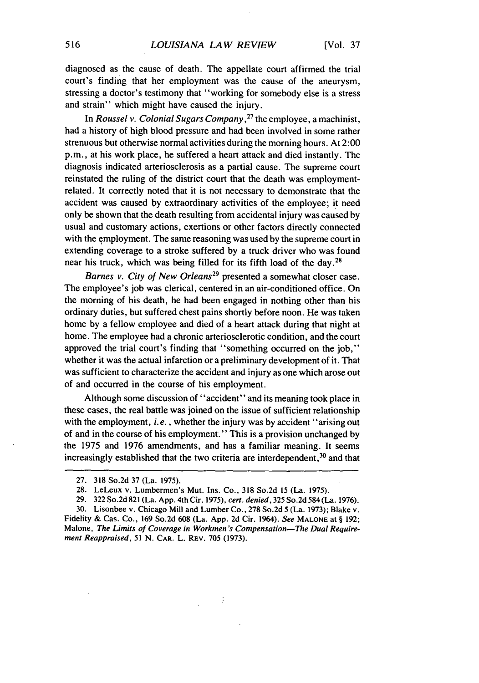diagnosed as the cause of death. The appellate court affirmed the trial court's finding that her employment was the cause of the aneurysm, stressing a doctor's testimony that "working for somebody else is a stress and strain" which might have caused the injury.

In *Roussel v.* Colonial Sugars *Company,27* the employee, a machinist, had a history of high blood pressure and had been involved in some rather strenuous but otherwise normal activities during the morning hours. At 2:00 p.m., at his work place, he suffered a heart attack and died instantly. The diagnosis indicated arteriosclerosis as a partial cause. The supreme court reinstated the ruling of the district court that the death was employmentrelated. It correctly noted that it is not necessary to demonstrate that the accident was caused by extraordinary activities of the employee; it need only be shown that the death resulting from accidental injury was caused by usual and customary actions, exertions or other factors directly connected with the employment. The same reasoning was used by the supreme court in extending coverage to a stroke suffered by a truck driver who was found near his truck, which was being filled for its fifth load of the day.<sup>28</sup>

*Barnes v. City of New Orleans29* presented a somewhat closer case. The employee's job was clerical, centered in an air-conditioned office. On the morning of his death, he had been engaged in nothing other than his ordinary duties, but suffered chest pains shortly before noon. He was taken home by a fellow employee and died of a heart attack during that night at home. The employee had a chronic arteriosclerotic condition, and the court approved the trial court's finding that "something occurred on the job," whether it was the actual infarction or a preliminary development of it. That was sufficient to characterize the accident and injury as one which arose out of and occurred in the course of his employment.

Although some discussion of "accident" and its meaning took place in these cases, the real battle was joined on the issue of sufficient relationship with the employment, *i.e.*, whether the injury was by accident "arising out of and in the course of his employment." This is a provision unchanged by the 1975 and 1976 amendments, and has a familiar meaning. It seems increasingly established that the two criteria are interdependent,<sup>30</sup> and that

 $\vdots$ 

<sup>27. 318</sup> So.2d 37 (La. 1975).

<sup>28.</sup> LeLeux v. Lumbermen's Mut. Ins. Co., 318 So.2d **15** (La. 1975).

<sup>29. 322</sup> So.2d 821 (La. App. 4th Cir. 1975), *cert. denied,* 325 So.2d 584 (La. 1976).

<sup>30.</sup> Lisonbee v. Chicago Mill and Lumber Co., 278 So.2d 5 (La. 1973); Blake v. Fidelity & Cas. Co., 169 So.2d 608 (La. App. 2d Cir. 1964). *See* **MALONE** at § 192; Malone, *The Limits of Coverage in Workmen's Compensation-The Dual Requirement Reappraised,* 51 N. CAR. L. REV. 705 (1973).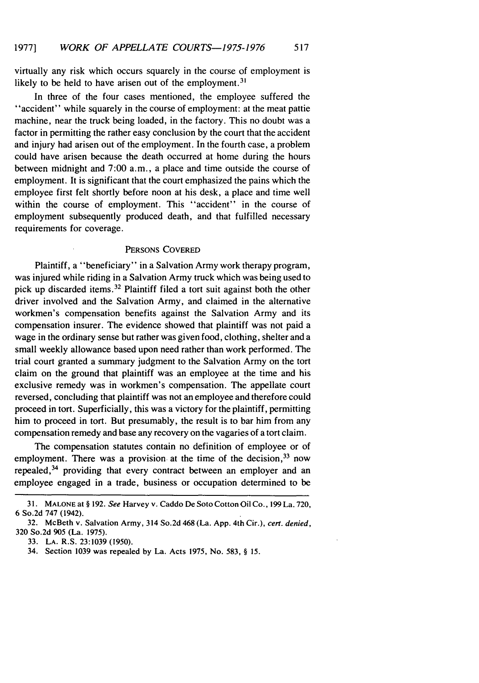virtually any risk which occurs squarely in the course of employment is likely to be held to have arisen out of the employment.<sup>3</sup>

In three of the four cases mentioned, the employee suffered the "accident" while squarely in the course of employment: at the meat pattie machine, near the truck being loaded, in the factory. This no doubt was a factor in permitting the rather easy conclusion by the court that the accident and injury had arisen out of the employment. In the fourth case, a problem could have arisen because the death occurred at home during the hours between midnight and 7:00 a.m., a place and time outside the course of employment. It is significant that the court emphasized the pains which the employee first felt shortly before noon at his desk, a place and time well within the course of employment. This "accident" in the course of employment subsequently produced death, and that fulfilled necessary requirements for coverage.

#### PERSONS COVERED

Plaintiff, a "beneficiary" in a Salvation Army work therapy program, was injured while riding in a Salvation Army truck which was being used to pick up discarded items.<sup>32</sup> Plaintiff filed a tort suit against both the other driver involved and the Salvation Army, and claimed in the alternative workmen's compensation benefits against the Salvation Army and its compensation insurer. The evidence showed that plaintiff was not paid a wage in the ordinary sense but rather was given food, clothing, shelter and a small weekly allowance based upon need rather than work performed. The trial court granted a summary judgment to the Salvation Army on the tort claim on the ground that plaintiff was an employee at the time and his exclusive remedy was in workmen's compensation. The appellate court reversed, concluding that plaintiff was not an employee and therefore could proceed in tort. Superficially, this was a victory for the plaintiff, permitting him to proceed in tort. But presumably, the result is to bar him from any compensation remedy and base any recovery on the vagaries of a tort claim.

The compensation statutes contain no definition of employee or of employment. There was a provision at the time of the decision, <sup>33</sup> now repealed,  $34$  providing that every contract between an employer and an employee engaged in a trade, business or occupation determined to be

<sup>31.</sup> **MALONE** at § 192. *See* Harvey v. Caddo De Soto Cotton Oil Co., 199 La. 720, 6 So.2d 747 (1942).

<sup>32.</sup> McBeth v. Salvation Army, 314 So.2d 468 (La. App. 4th Cir.), *cert. denied,* 320 So.2d 905 (La. 1975).

<sup>33.</sup> LA. R.S. 23:1039 (1950).

<sup>34.</sup> Section 1039 was repealed by La. Acts 1975, No. 583, § *15.*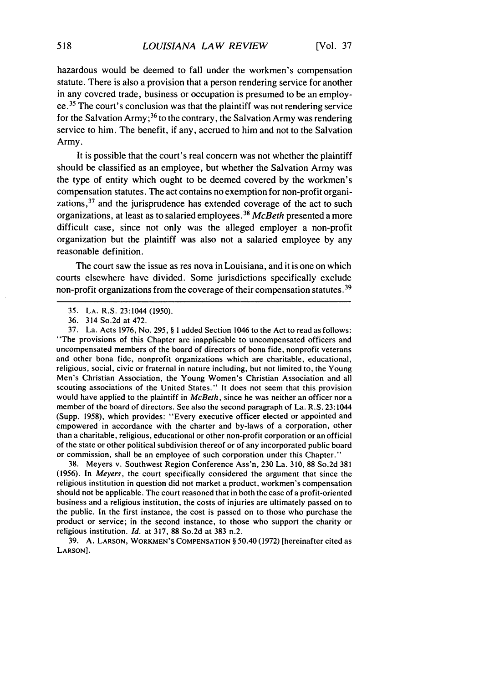hazardous would be deemed to fall under the workmen's compensation statute. There is also a provision that a person rendering service for another in any covered trade, business or occupation is presumed to be an employee. 35 The court's conclusion was that the plaintiff was not rendering service for the Salvation Army;<sup>36</sup> to the contrary, the Salvation Army was rendering service to him. The benefit, if any, accrued to him and not to the Salvation Army.

It is possible that the court's real concern was not whether the plaintiff should be classified as an employee, but whether the Salvation Army was the type of entity which ought to be deemed covered by the workmen's compensation statutes. The act contains no exemption for non-profit organizations,<sup>37</sup> and the jurisprudence has extended coverage of the act to such organizations, at least as to salaried employees. <sup>38</sup>*McBeth* presented a more difficult case, since not only was the alleged employer a non-profit organization but the plaintiff was also not a salaried employee by any reasonable definition.

The court saw the issue as res nova in Louisiana, and it is one on which courts elsewhere have divided. Some jurisdictions specifically exclude non-profit organizations from the coverage of their compensation statutes.<sup>39</sup>

37. La. Acts 1976, No. 295, § **I** added Section 1046 to the Act to read as follows: "The provisions of this Chapter are inapplicable to uncompensated officers and uncompensated members of the board of directors of bona fide, nonprofit veterans and other bona fide, nonprofit organizations which are charitable, educational, religious, social, civic or fraternal in nature including, but not limited to, the Young Men's Christian Association, the Young Women's Christian Association and all scouting associations of the United States." It does not seem that this provision would have applied to the plaintiff in *McBeth,* since he was neither an officer nor a member of the board of directors. See also the second paragraph of La. R.S. 23:1044 (Supp. 1958), which provides: "Every executive officer elected or appointed and empowered in accordance with the charter and by-laws of a corporation, other than a charitable, religious, educational or other non-profit corporation or an official of the state or other political subdivision thereof or of any incorporated public board or commission, shall be an employee of such corporation under this Chapter."

38. Meyers v. Southwest Region Conference Ass'n, 230 La. 310, 88 So.2d 381 (1956). In Meyers, the court specifically considered the argument that since the religious institution in question did not market a product, workmen's compensation should not be applicable. The court reasoned that in both the case of a profit-oriented business and a religious institution, the costs of injuries are ultimately passed on to the public. In the first instance, the cost is passed on to those who purchase the product or service; in the second instance, to those who support the charity or religious institution. *Id.* at 317, 88 So.2d at 383 n.2.

39. A. **LARSON,** WORKMEN'S **COMPENSATION** § 50.40 (1972) [hereinafter cited as **LARSON].**

<sup>35.</sup> **LA.** R.S. 23:1044 (1950).

<sup>36. 314</sup> So.2d at 472.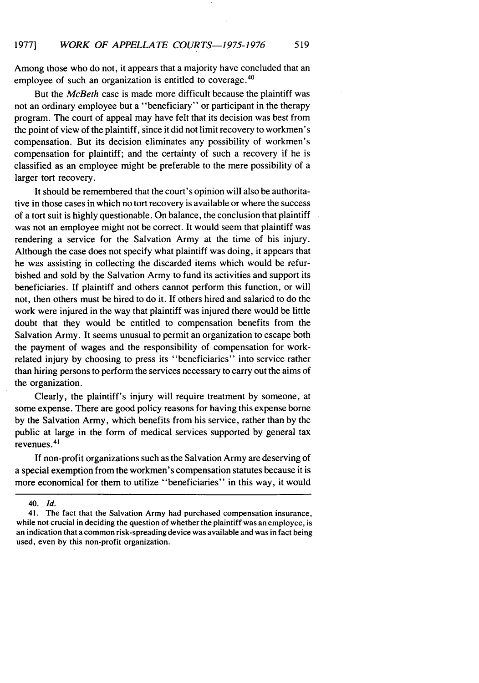Among those who do not, it appears that a majority have concluded that an employee of such an organization is entitled to coverage.<sup>40</sup>

But the *McBeth* case is made more difficult because the plaintiff was not an ordinary employee but a "beneficiary" or participant in the therapy program. The court of appeal may have felt that its decision was best from the point of view of the plaintiff, since it did not limit recovery to workmen's compensation. But its decision eliminates any possibility of workmen's compensation for plaintiff; and the certainty of such a recovery if he is classified as an employee might be preferable to the mere possibility of a larger tort recovery.

It should be remembered that the court's opinion will also be authoritative in those cases in which no tort recovery is available or where the success of a tort suit is highly questionable. On balance, the conclusion that plaintiff was not an employee might not be correct. It would seem that plaintiff was rendering a service for the Salvation Army at the time of his injury. Although the case does not specify what plaintiff was doing, it appears that he was assisting in collecting the discarded items which would be refurbished and sold by the Salvation Army to fund its activities and support its beneficiaries. If plaintiff and others cannot perform this function, or will not, then others must be hired to do it. If others hired and salaried to do the work were injured in the way that plaintiff was injured there would be little doubt that they would be entitled to compensation benefits from the Salvation Army. It seems unusual to permit an organization to escape both the payment of wages and the responsibility of compensation for workrelated injury by choosing to press its "beneficiaries" into service rather than hiring persons to perform the services necessary to carry out the aims of the organization.

Clearly, the plaintiff's injury will require treatment by someone, at some expense. There are good policy reasons for having this expense borne by the Salvation Army, which benefits from his service, rather than by the public at large in the form of medical services supported by general tax revenues. <sup>41</sup>

If non-profit organizations such as the Salvation Army are deserving of a special exemption from the workmen's compensation statutes because it is more economical for them to utilize "beneficiaries" in this way, it would

<sup>40.</sup> *Id.*

<sup>41.</sup> The fact that the Salvation Army had purchased compensation insurance, while not crucial in deciding the question of whether the plaintiff was an employee, is an indication that a common risk-spreading device was available and was in fact being used, even by this non-profit organization.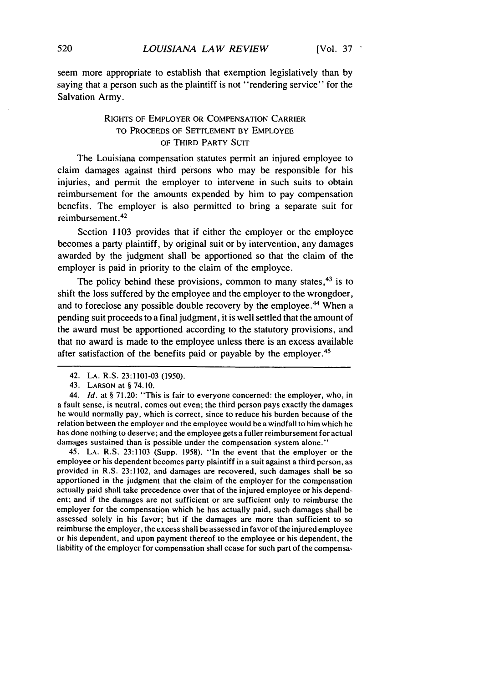seem more appropriate to establish that exemption legislatively than by saying that a person such as the plaintiff is not "rendering service" for the Salvation Army.

## RIGHTS OF EMPLOYER OR COMPENSATION CARRIER TO PROCEEDS OF SETTLEMENT BY EMPLOYEE OF THIRD PARTY SUIT

The Louisiana compensation statutes permit an injured employee to claim damages against third persons who may be responsible for his injuries, and permit the employer to intervene in such suits to obtain reimbursement for the amounts expended by him to pay compensation benefits. The employer is also permitted to bring a separate suit for reimbursement **.2**

Section 1103 provides that if either the employer or the employee becomes a party plaintiff, by original suit or by intervention, any damages awarded by the judgment shall be apportioned so that the claim of the employer is paid in priority to the claim of the employee.

The policy behind these provisions, common to many states,  $43$  is to shift the loss suffered by the employee and the employer to the wrongdoer, and to foreclose any possible double recovery by the employee.<sup>44</sup> When a pending suit proceeds to a final judgment, it is well settled that the amount of the award must be apportioned according to the statutory provisions, and that no award is made to the employee unless there is an excess available after satisfaction of the benefits paid or payable by the employer.<sup>45</sup>

45. LA. R.S. 23:1103 (Supp. 1958). "In the event that the employer or the employee or his dependent becomes party plaintiff in a suit against a third person, as provided in R.S. 23:1102, and damages are recovered, such damages shall be so apportioned in the judgment that the claim of the employer for the compensation actually paid shall take precedence over that of the injured employee or his dependent; and if the damages are not sufficient or are sufficient only to reimburse the employer for the compensation which he has actually paid, such damages shall be assessed solely in his favor; but if the damages are more than sufficient to so reimburse the employer, the excess shall be assessed in favor of the injured employee or his dependent, and upon payment thereof to the employee or his dependent, the liability of the employer for compensation shall cease for such part of the compensa-

<sup>42.</sup> **LA.** R.S. 23:1101-03 (1950).

<sup>43.</sup> LARSON at § 74.10.

<sup>44.</sup> *Id.* at § 71.20: "This is fair to everyone concerned: the employer, who, in a fault sense, is neutral, comes out even; the third person pays exactly the damages he would normally pay, which is correct, since to reduce his burden because of the relation between the employer and the employee would be a windfall to him which he has done nothing to deserve; and the employee gets a fuller reimbursement for actual damages sustained than is possible under the compensation system alone."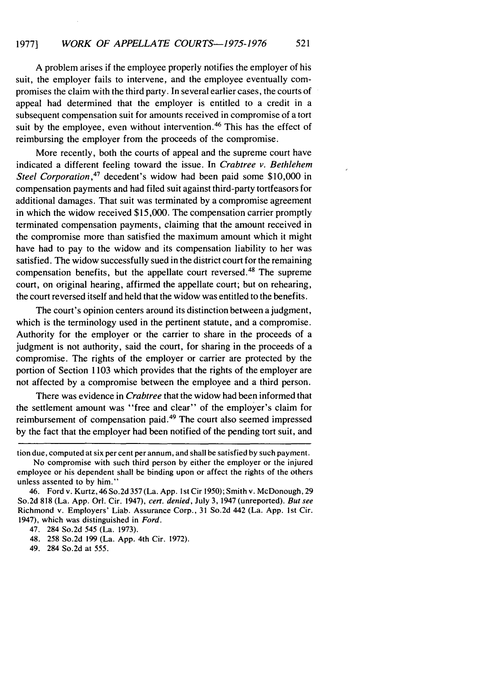A problem arises if the employee properly notifies the employer of his suit, the employer fails to intervene, and the employee eventually compromises the claim with the third party. In several earlier cases, the courts of appeal had determined that the employer is entitled to a credit in a subsequent compensation suit for amounts received in compromise of a tort suit by the employee, even without intervention.<sup>46</sup> This has the effect of reimbursing the employer from the proceeds of the compromise.

More recently, both the courts of appeal and the supreme court have indicated a different feeling toward the issue. In *Crabtree v. Bethlehem Steel Corporation*,<sup>47</sup> decedent's widow had been paid some \$10,000 in compensation payments and had filed suit against third-party tortfeasors for additional damages. That suit was terminated by a compromise agreement in which the widow received \$15,000. The compensation carrier promptly terminated compensation payments, claiming that the amount received in the compromise more than satisfied the maximum amount which it might have had to pay to the widow and its compensation liability to her was satisfied. The widow successfully sued in the district court for the remaining compensation benefits, but the appellate court reversed. 48 The supreme court, on original hearing, affirmed the appellate court; but on rehearing, the court reversed itself and held that the widow was entitled to the benefits.

The court's opinion centers around its distinction between a judgment, which is the terminology used in the pertinent statute, and a compromise. Authority for the employer or the carrier to share in the proceeds of a judgment is not authority, said the court, for sharing in the proceeds of a compromise. The rights of the employer or carrier are protected by the portion of Section 1103 which provides that the rights of the employer are not affected by a compromise between the employee and a third person.

There was evidence in *Crabtree* that the widow had been informed that the settlement amount was "free and clear" of the employer's claim for reimbursement of compensation paid. 49 The court also seemed impressed by the fact that the employer had been notified of the pending tort suit, and

tion due, computed at six per cent per annum, and shall be satisfied by such payment.

No compromise with such third person by either the employer or the injured employee or his dependent shall be binding upon or affect the rights of the others unless assented to by him."

<sup>46.</sup> Ford v. Kurtz, 46 So.2d 357 (La. App. Ist Cir 1950); Smith v. McDonough, 29 So.2d 818 (La. App. Orl. Cir. 1947), *cert. denied,* July 3, 1947 (unreported). *But see* Richmond v. Employers' Liab. Assurance Corp., 31 So.2d 442 (La. App. 1st Cir. 1947), which was distinguished in *Ford.*

<sup>47. 284</sup> So.2d 545 (La. 1973).

<sup>48. 258</sup> So.2d 199 (La. App. 4th Cir. 1972).

<sup>49. 284</sup> So.2d at 555.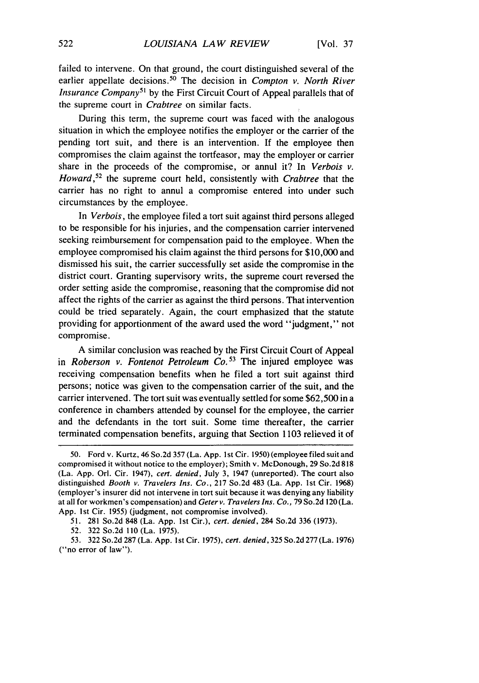failed to intervene. On that ground, the court distinguished several of the earlier appellate decisions.<sup>50</sup> The decision in *Compton v. North River Insurance Company*<sup>51</sup> by the First Circuit Court of Appeal parallels that of the supreme court in *Crabtree* on similar facts.

During this term, the supreme court was faced with the analogous situation in which the employee notifies the employer or the carrier of the pending tort suit, and there is an intervention. If the employee then compromises the claim against the tortfeasor, may the employer or carrier share in the proceeds of the compromise, or annul it? In *Verbois v. Howard,52* the supreme court held, consistently with *Crabtree* that the carrier has no right to annul a compromise entered into under such circumstances by the employee.

In *Verbois,* the employee filed a tort suit against third persons alleged to be responsible for his injuries, and the compensation carrier intervened seeking reimbursement for compensation paid to the employee. When the employee compromised his claim against the third persons for \$10,000 and dismissed his suit, the carrier successfully set aside the compromise in the district court. Granting supervisory writs, the supreme court reversed the order setting aside the compromise, reasoning that the compromise did not affect the rights of the carrier as against the third persons. That intervention could be tried separately. Again, the court emphasized that the statute providing for apportionment of the award used the word "judgment," not compromise.

A similar conclusion was reached by the First Circuit Court of Appeal in *Roberson v. Fontenot Petroleum Co.*<sup>53</sup> The injured employee was receiving compensation benefits when he filed a tort suit against third persons; notice was given to the compensation carrier of the suit, and the carrier intervened. The tort suit was eventually settled for some \$62,500 in a conference in chambers attended by counsel for the employee, the carrier and the defendants in the tort suit. Some time thereafter, the carrier terminated compensation benefits, arguing that Section 1103 relieved it of

51. 281 So.2d 848 (La. App. 1st Cir.), cert. denied, 284 So.2d 336 (1973).

53. 322 So.2d 287 (La. App. Ist Cir. 1975), cert. *denied,* 325So.2d277(La. 1976) ("no error of law").

<sup>50.</sup> Ford v. Kurtz, 46 So.2d 357 (La. App. **I** st Cir. 1950) (employee filed suit and compromised it without notice to the employer); Smith v. McDonough, 29 So.2d 818 (La. App. Orl. Cir. 1947), cert. denied, July 3, 1947 (unreported). The court also distinguished Booth v. Travelers Ins. Co., 217 So.2d 483 (La. App. 1st Cir. **1968)** (employer's insurer did not intervene in tort suit because it was denying any liability at all for workmen's compensation) and Geter v. Travelers Ins. Co., 79 So.2d 120 (La. App. Ist Cir. 1955) (judgment, not compromise involved).

<sup>52. 322</sup> So.2d 110 (La. 1975).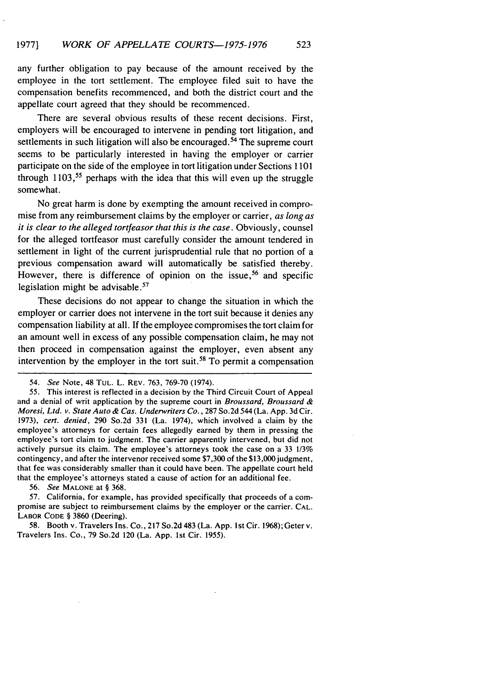any further obligation to pay because of the amount received by the employee in the tort settlement. The employee filed suit to have the compensation benefits recommenced, and both the district court and the appellate court agreed that they should be recommenced.

There are several obvious results of these recent decisions. First, employers will be encouraged to intervene in pending tort litigation, and settlements in such litigation will also be encouraged.<sup>54</sup> The supreme court seems to be particularly interested in having the employer or carrier participate on the side of the employee in tort litigation under Sections 1101 through  $1103$ ,<sup>55</sup> perhaps with the idea that this will even up the struggle somewhat.

No great harm is done by exempting the amount received in compromise from any reimbursement claims by the employer or carrier, as *long as it is clear to the alleged* tortfeasor that this is the case. Obviously, counsel for the alleged tortfeasor must carefully consider the amount tendered in settlement in light of the current jurisprudential rule that no portion of a previous compensation award will automatically be satisfied thereby. However, there is difference of opinion on the issue,<sup>56</sup> and specific legislation might be advisable.<sup>57</sup>

These decisions do not appear to change the situation in which the employer or carrier does not intervene in the tort suit because it denies any compensation liability at all. If the employee compromises the tort claim for an amount well in excess of any possible compensation claim, he may not then proceed in compensation against the employer, even absent any intervention by the employer in the tort suit. 58 To permit a compensation

*56.* See **MALONE** at § 368.

57. California, for example, has provided specifically that proceeds of a com- promise are subject to reimbursement claims by the employer or the carrier. CAL. LABOR **CODE** § 3860 (Deering).

58. Booth v. Travelers Ins. Co., 217 So.2d 483 (La. App. **I** st Cir. 1968); Geter v. Travelers Ins. Co., 79 So.2d 120 (La. App. 1st Cir. 1955).

<sup>54.</sup> *See* Note, 48 **TUL.** L. REV. 763, 769-70 (1974).

<sup>55.</sup> This interest is reflected in a decision by the Third Circuit Court of Appeal and a denial of writ application by the supreme court in *Broussard, Broussard &* Moresi, *Ltd. v.* State Auto *& Cas. Underwriters Co.,* 287 So.2d 544 (La. App. 3d Cir. 1973), cert. denied, 290 So.2d 331 (La. 1974), which involved a claim by the employee's attorneys for certain fees allegedly earned by them in pressing the employee's tort claim to judgment. The carrier apparently intervened, but did not actively pursue its claim. The employee's attorneys took the case on a 33 1/3% contingency, and after the intervenor received some \$7,300 of the \$13,000 judgment, that fee was considerably smaller than it could have been. The appellate court held that the employee's attorneys stated a cause of action for an additional fee.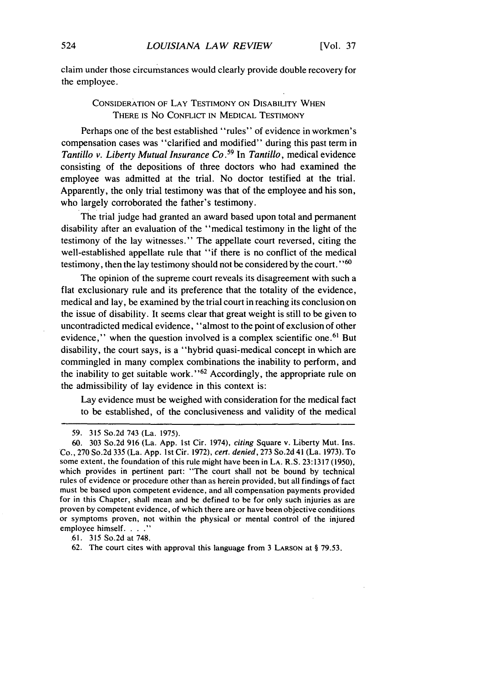claim under those circumstances would clearly provide double recovery for the employee.

## CONSIDERATION OF LAY TESTIMONY ON DISABILITY WHEN THERE IS No CONFLICT IN MEDICAL TESTIMONY

Perhaps one of the best established "rules" of evidence in workmen's compensation cases was "clarified and modified" during this past term in *Tantillo v. Liberty Mutual Insurance Co.59* In *Tantillo,* medical evidence consisting of the depositions of three doctors who had examined the employee was admitted at the trial. No doctor testified at the trial. Apparently, the only trial testimony was that of the employee and his son, who largely corroborated the father's testimony.

The trial judge had granted an award based upon total and permanent disability after an evaluation of the "medical testimony in the light of the testimony of the lay witnesses." The appellate court reversed, citing the well-established appellate rule that "if there is no conflict of the medical testimony, then the lay testimony should not be considered by the court.<sup>"60</sup>

The opinion of the supreme court reveals its disagreement with such a flat exclusionary rule and its preference that the totality of the evidence, medical and lay, be examined by the trial court in reaching its conclusion on the issue of disability. It seems clear that great weight is still to be given to uncontradicted medical evidence, "almost to the point of exclusion of other evidence," when the question involved is a complex scientific one.<sup>61</sup> But disability, the court says, is a "hybrid quasi-medical concept in which are commingled in many complex combinations the inability to perform, and the inability to get suitable work." $62$  Accordingly, the appropriate rule on the admissibility of lay evidence in this context is:

Lay evidence must be weighed with consideration for the medical fact to be established, of the conclusiveness and validity of the medical

.61. 315 So.2d at 748.

<sup>59. 315</sup> So.2d 743 (La. 1975).

<sup>60. 303</sup> So.2d 916 (La. App. 1st Cir. 1974), *citing* Square v. Liberty Mut. Ins. Co., 270 So.2d 335 (La. App. 1st Cir. 1972), *cert. denied,* 273 So.2d 41 (La, 1973). To some extent, the foundation of this rule might have been in LA. R.S. 23:1317 (1950), which provides in pertinent part: "The court shall not be bound by technical rules of evidence or procedure other than as herein provided, but all findings of fact must be based upon competent evidence, and all compensation payments provided for in this Chapter, shall mean and be defined to be for only such injuries as are proven by competent evidence, of which there are or have been objective conditions or symptoms proven, not within the physical or mental control of the injured employee himself. . . . . "

<sup>62.</sup> The court cites with approval this language from 3 **LARSON** at § 79.53.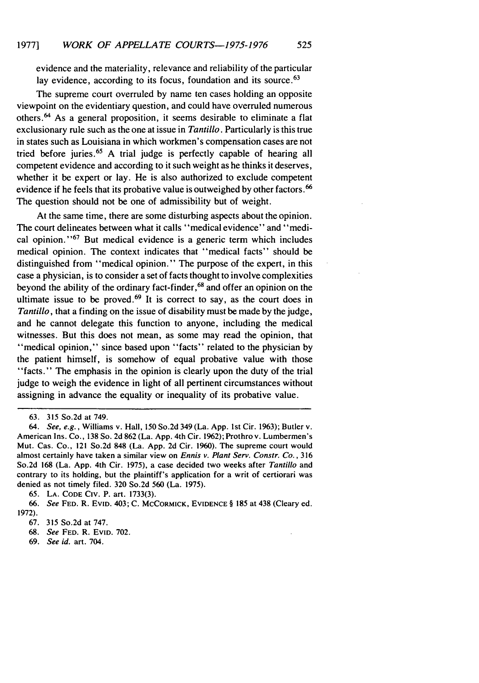evidence and the materiality, relevance and reliability of the particular lay evidence, according to its focus, foundation and its source.<sup>63</sup>

The supreme court overruled by name ten cases holding an opposite viewpoint on the evidentiary question, and could have overruled numerous others.<sup>64</sup> As a general proposition, it seems desirable to eliminate a flat exclusionary rule such as the one at issue in *Tantillo.* Particularly is this true in states such as Louisiana in which workmen's compensation cases are not tried before juries. 65 A trial judge is perfectly capable of hearing all competent evidence and according to it such weight as he thinks it deserves, whether it be expert or lay. He is also authorized to exclude competent evidence if he feels that its probative value is outweighed by other factors.<sup>66</sup> The question should not be one of admissibility but of weight.

At the same time, there are some disturbing aspects about the opinion. The court delineates between what it calls "medical evidence" and "medical opinion.' **'67** But medical evidence is a generic term which includes medical opinion. The context indicates that "medical facts" should be distinguished from "medical opinion." The purpose of the expert, in this case a physician, is to consider a set of facts thought to involve complexities beyond the ability of the ordinary fact-finder, 68 and offer an opinion on the ultimate issue to be proved.<sup>69</sup> It is correct to say, as the court does in *Tantillo*, that a finding on the issue of disability must be made by the judge, and he cannot delegate this function to anyone, including the medical witnesses. But this does not mean, as some may read the opinion, that "medical opinion," since based upon "facts" related to the physician by the patient himself, is somehow of equal probative value with those "facts." The emphasis in the opinion is clearly upon the duty of the trial judge to weigh the evidence in light of all pertinent circumstances without assigning in advance the equality or inequality of its probative value.

<sup>63. 315</sup> So.2d at 749.

*<sup>64.</sup> See, e.g.,* Williams v. Hall, 150 So.2d 349 (La. App. 1st Cir. 1963); Butler v. American Ins. Co., 138 So. 2d 862 (La. App. 4th Cir. 1962); Prothro v. Lumbermen's Mut. Cas. Co., 121 So.2d 848 (La. App. 2d Cir. 1960). The supreme court would almost certainly have taken a similar view on *Ennis v. Plant Serv. Constr. Co.,* <sup>316</sup> So.2d 168 (La. App. 4th Cir. 1975), a case decided two weeks after *Tantillo* and contrary to its holding, but the plaintiff's application for a writ of certiorari was denied as not timely filed. 320 So.2d 560 (La. 1975).

<sup>65.</sup> LA. CODE CIV. P. art. 1733(3).

**<sup>66.</sup>** *See* **FED.** R. EvID. 403; **C. MCCORMICK,** EVIDENCE § **185** at 438 (Cleary ed. **1972).**

**<sup>67. 315</sup>** So.2d at **747.**

**<sup>68.</sup>** *See* **FED.** R. **EVID. 702.**

**<sup>69.</sup>** *See id.* art. 704.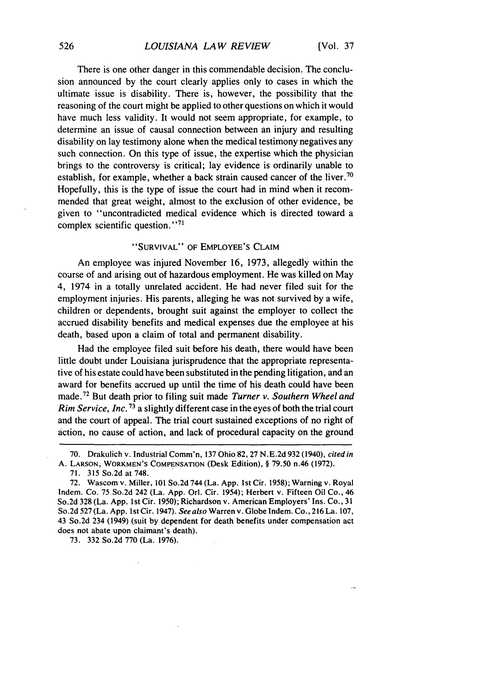There is one other danger in this commendable decision. The conclusion announced by the court clearly applies only to cases in which the ultimate issue is disability. There is, however, the possibility that the reasoning of the court might be applied to other questions on which it would have much less validity. It would not seem appropriate, for example, to determine an issue of causal connection between an injury and resulting disability on lay testimony alone when the medical testimony negatives any such connection. On this type of issue, the expertise which the physician brings to the controversy is critical; lay evidence is ordinarily unable to establish, for example, whether a back strain caused cancer of the liver.<sup>76</sup> Hopefully, this is the type of issue the court had in mind when it recommended that great weight, almost to the exclusion of other evidence, be given to "uncontradicted medical evidence which is directed toward a complex scientific question."<sup>71</sup>

#### "SURVIVAL" OF EMPLOYEE'S CLAIM

An employee was injured November 16, 1973, allegedly within the course of and arising out of hazardous employment. He was killed on May 4, 1974 in a totally unrelated accident. He had never filed suit for the employment injuries. His parents, alleging he was not survived by a wife, children or dependents, brought suit against the employer to collect the accrued disability benefits and medical expenses due the employee at his death, based upon a claim of total and permanent disability.

Had the employee filed suit before his death, there would have been little doubt under Louisiana jurisprudence that the appropriate representative of his estate could have been substituted in the pending litigation, and an award for benefits accrued up until the time of his death could have been made.<sup>72</sup> But death prior to filing suit made *Turner v. Southern Wheel and Rim Service, Inc.* **73** a slightly different case in the eyes of both the trial court and the court of appeal. The trial court sustained exceptions of no right of action, no cause of action, and lack of procedural capacity on the ground

73. 332 So.2d 770 (La. 1976).

<sup>70.</sup> Drakulich v. Industrial Comm'n, 137 Ohio 82, 27 N.E.2d 932 (1940), cited in A. **LARSON,** WORKMEN'S **COMPENSATION** (Desk Edition), § 79.50 n.46 (1972).

<sup>71.</sup> 315 So.2d at 748.

<sup>72.</sup> Wascom v. Miller, 101 So.2d 744 (La. App. Ist Cir. 1958); Warning v. Royal Indem. Co. 75 So.2d 242 (La. App. Orl. Cir. 1954); Herbert v. Fifteen Oil Co., 46 So.2d 328 (La. App. 1st Cir. 1950); Richardson v. American Employers' Ins. Co., 31 So.2d 527 (La. App. Ist Cir. 1947). *See* also Warren v. Globe Indem. Co., 216 La. 107, 43 So.2d 234 (1949) (suit by dependent for death benefits under compensation act does not abate upon claimant's death).